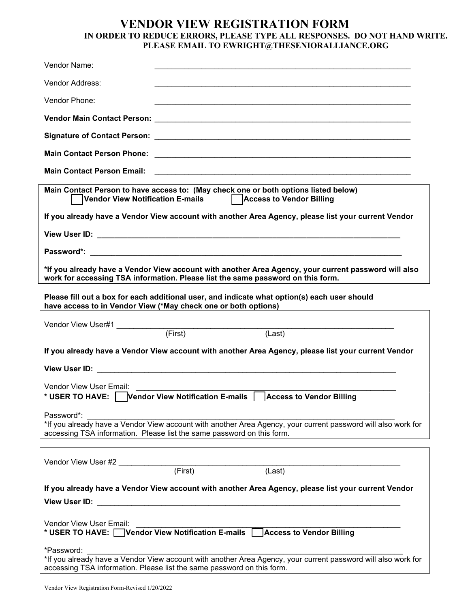## **VENDOR VIEW REGISTRATION FORM IN ORDER TO REDUCE ERRORS, PLEASE TYPE ALL RESPONSES. DO NOT HAND WRITE. PLEASE EMAIL TO EWRIGHT@THESENIORALLIANCE.ORG**

| Vendor Name:                                                                                                                                                                                                                                                                                                                          |
|---------------------------------------------------------------------------------------------------------------------------------------------------------------------------------------------------------------------------------------------------------------------------------------------------------------------------------------|
| Vendor Address:                                                                                                                                                                                                                                                                                                                       |
| Vendor Phone:                                                                                                                                                                                                                                                                                                                         |
|                                                                                                                                                                                                                                                                                                                                       |
|                                                                                                                                                                                                                                                                                                                                       |
| <b>Main Contact Person Phone:</b>                                                                                                                                                                                                                                                                                                     |
| <b>Main Contact Person Email:</b>                                                                                                                                                                                                                                                                                                     |
| Main Contact Person to have access to: (May check one or both options listed below)<br>Vendor View Notification E-mails   Access to Vendor Billing                                                                                                                                                                                    |
| If you already have a Vendor View account with another Area Agency, please list your current Vendor                                                                                                                                                                                                                                   |
|                                                                                                                                                                                                                                                                                                                                       |
|                                                                                                                                                                                                                                                                                                                                       |
| *If you already have a Vendor View account with another Area Agency, your current password will also<br>work for accessing TSA information. Please list the same password on this form.                                                                                                                                               |
| Please fill out a box for each additional user, and indicate what option(s) each user should<br>have access to in Vendor View (*May check one or both options)                                                                                                                                                                        |
| (First)<br>(Last)                                                                                                                                                                                                                                                                                                                     |
| If you already have a Vendor View account with another Area Agency, please list your current Vendor                                                                                                                                                                                                                                   |
|                                                                                                                                                                                                                                                                                                                                       |
| Vendor View User Email:                                                                                                                                                                                                                                                                                                               |
| * USER TO HAVE: Vendor View Notification E-mails   Access to Vendor Billing                                                                                                                                                                                                                                                           |
| Password*:<br>*If you already have a Vendor View account with another Area Agency, your current password will also work for<br>accessing TSA information. Please list the same password on this form.                                                                                                                                 |
|                                                                                                                                                                                                                                                                                                                                       |
|                                                                                                                                                                                                                                                                                                                                       |
| If you already have a Vendor View account with another Area Agency, please list your current Vendor<br>View User ID: Web and the Contract of the Contract of the Contract of the Contract of the Contract of the Contract of the Contract of the Contract of the Contract of the Contract of the Contract of the Contract of the Cont |
| Vendor View User Email:<br>* USER TO HAVE: Vendor View Notification E-mails Access to Vendor Billing                                                                                                                                                                                                                                  |
| *Password:<br>*If you already have a Vendor View account with another Area Agency, your current password will also work for<br>accessing TSA information. Please list the same password on this form.                                                                                                                                 |